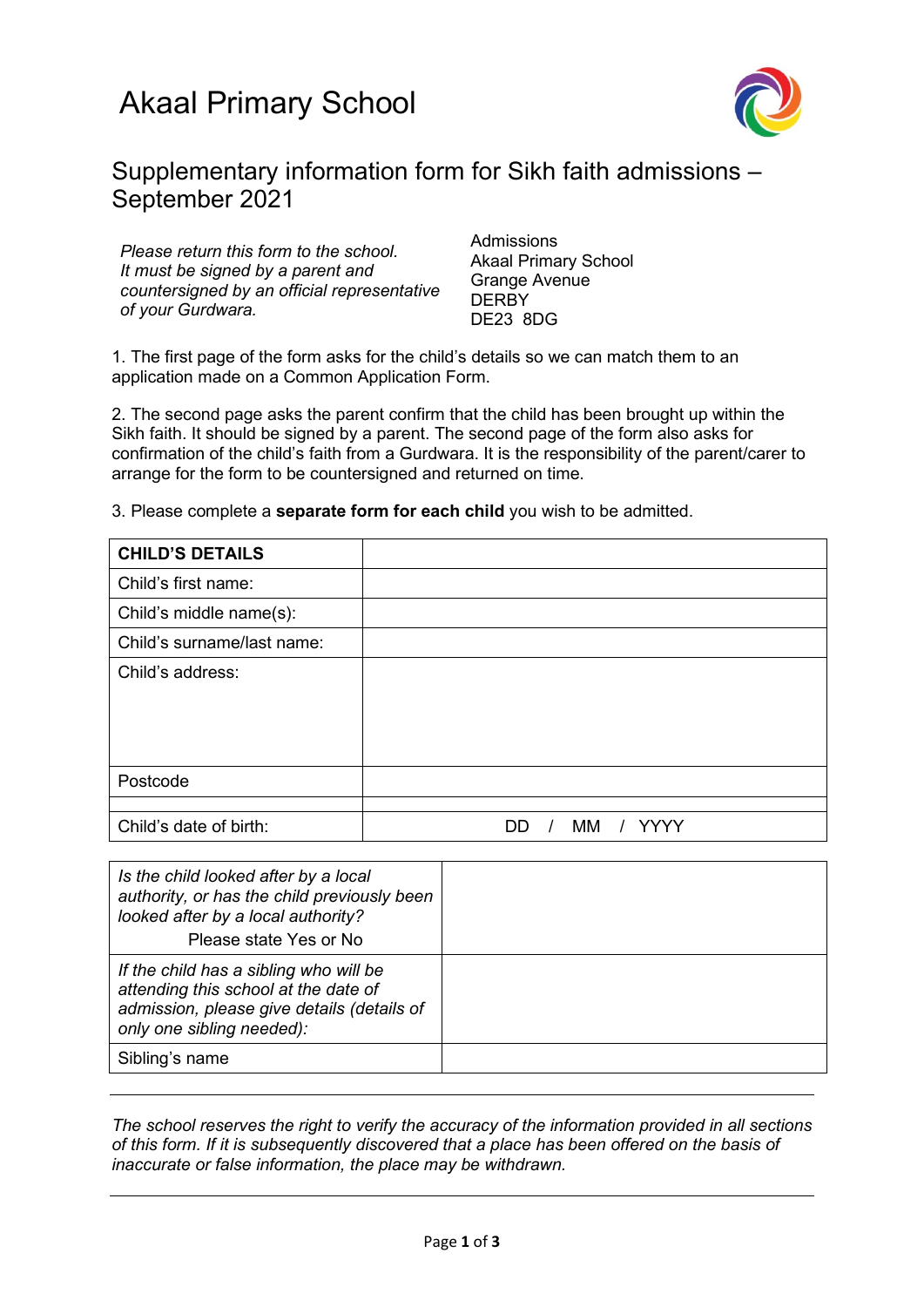

## Supplementary information form for Sikh faith admissions – September 2021

*Please return this form to the school. It must be signed by a parent and countersigned by an official representative of your Gurdwara.*

**Admissions** Akaal Primary School Grange Avenue **DERBY** DE23 8DG

1. The first page of the form asks for the child's details so we can match them to an application made on a Common Application Form.

2. The second page asks the parent confirm that the child has been brought up within the Sikh faith. It should be signed by a parent. The second page of the form also asks for confirmation of the child's faith from a Gurdwara. It is the responsibility of the parent/carer to arrange for the form to be countersigned and returned on time.

|  | 3. Please complete a <b>separate form for each child</b> you wish to be admitted. |  |  |  |  |
|--|-----------------------------------------------------------------------------------|--|--|--|--|
|  |                                                                                   |  |  |  |  |

| <b>CHILD'S DETAILS</b>     |                        |
|----------------------------|------------------------|
| Child's first name:        |                        |
| Child's middle name(s):    |                        |
| Child's surname/last name: |                        |
| Child's address:           |                        |
| Postcode                   |                        |
|                            |                        |
| Child's date of birth:     | <b>YYY</b><br>мм<br>DD |

| Is the child looked after by a local<br>authority, or has the child previously been<br>looked after by a local authority?<br>Please state Yes or No       |  |
|-----------------------------------------------------------------------------------------------------------------------------------------------------------|--|
| If the child has a sibling who will be<br>attending this school at the date of<br>admission, please give details (details of<br>only one sibling needed): |  |
| Sibling's name                                                                                                                                            |  |

*The school reserves the right to verify the accuracy of the information provided in all sections of this form. If it is subsequently discovered that a place has been offered on the basis of inaccurate or false information, the place may be withdrawn.*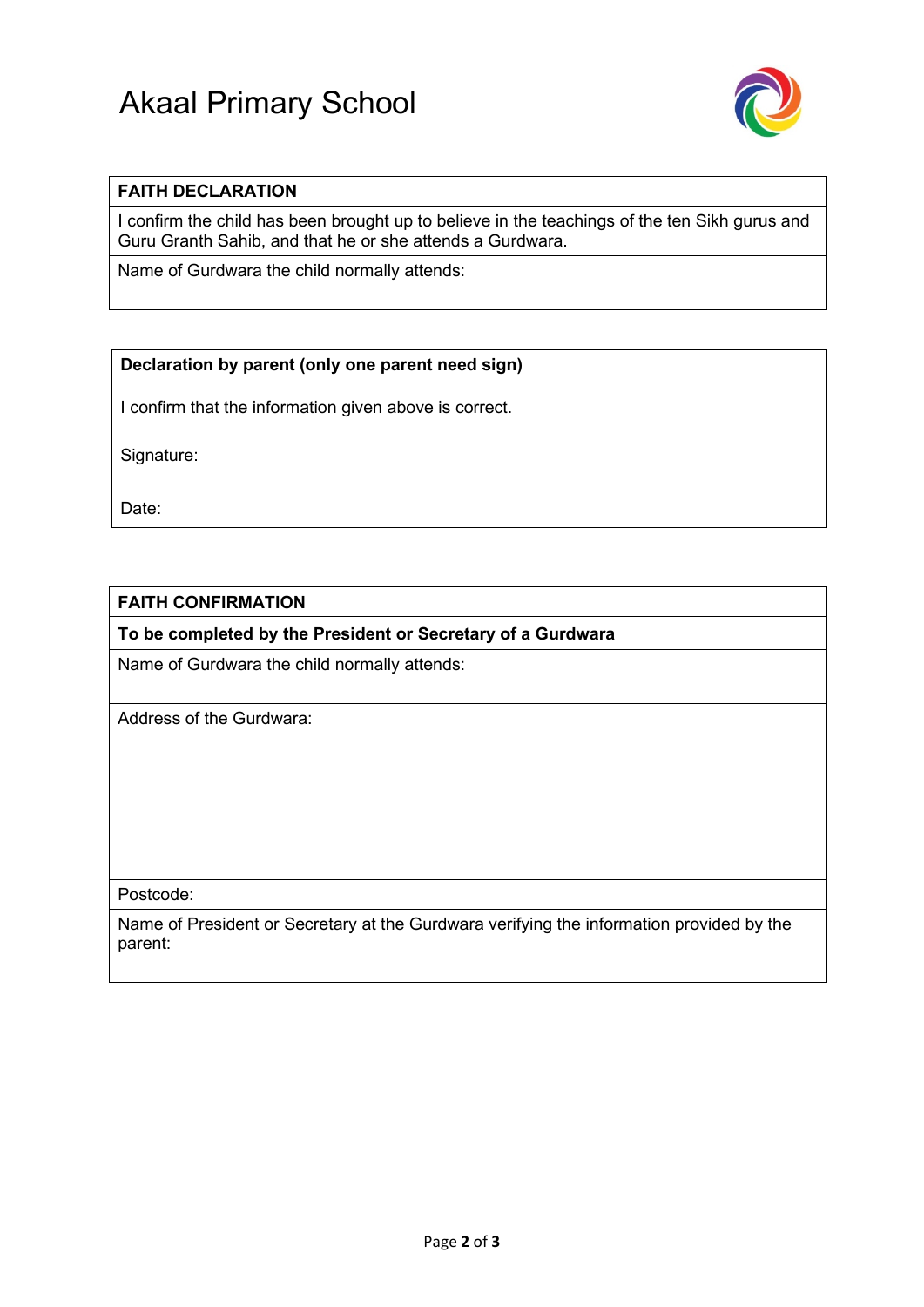# Akaal Primary School



#### **FAITH DECLARATION**

I confirm the child has been brought up to believe in the teachings of the ten Sikh gurus and Guru Granth Sahib, and that he or she attends a Gurdwara.

Name of Gurdwara the child normally attends:

#### **Declaration by parent (only one parent need sign)**

I confirm that the information given above is correct.

Signature:

Date:

#### **FAITH CONFIRMATION**

**To be completed by the President or Secretary of a Gurdwara**

Name of Gurdwara the child normally attends:

Address of the Gurdwara:

Postcode:

Name of President or Secretary at the Gurdwara verifying the information provided by the parent: